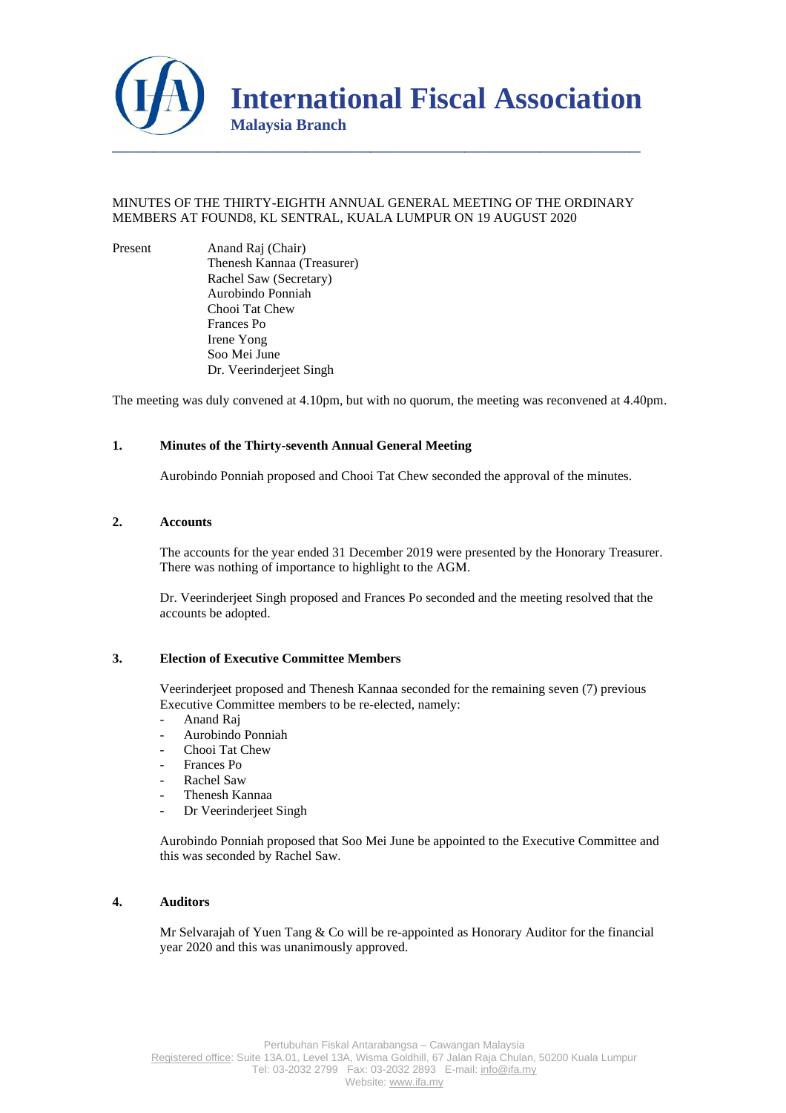

# MINUTES OF THE THIRTY-EIGHTH ANNUAL GENERAL MEETING OF THE ORDINARY MEMBERS AT FOUND8, KL SENTRAL, KUALA LUMPUR ON 19 AUGUST 2020

Present Anand Raj (Chair) Thenesh Kannaa (Treasurer) Rachel Saw (Secretary) Aurobindo Ponniah Chooi Tat Chew Frances Po Irene Yong Soo Mei June Dr. Veerinderjeet Singh

The meeting was duly convened at 4.10pm, but with no quorum, the meeting was reconvened at 4.40pm.

# **1. Minutes of the Thirty-seventh Annual General Meeting**

Aurobindo Ponniah proposed and Chooi Tat Chew seconded the approval of the minutes.

### **2. Accounts**

The accounts for the year ended 31 December 2019 were presented by the Honorary Treasurer. There was nothing of importance to highlight to the AGM.

Dr. Veerinderjeet Singh proposed and Frances Po seconded and the meeting resolved that the accounts be adopted.

# **3. Election of Executive Committee Members**

Veerinderjeet proposed and Thenesh Kannaa seconded for the remaining seven (7) previous Executive Committee members to be re-elected, namely:

- Anand Raj
- Aurobindo Ponniah
- Chooi Tat Chew
- Frances Po
- Rachel Saw
- Thenesh Kannaa
- Dr Veerinderjeet Singh

Aurobindo Ponniah proposed that Soo Mei June be appointed to the Executive Committee and this was seconded by Rachel Saw.

#### **4. Auditors**

Mr Selvarajah of Yuen Tang & Co will be re-appointed as Honorary Auditor for the financial year 2020 and this was unanimously approved.